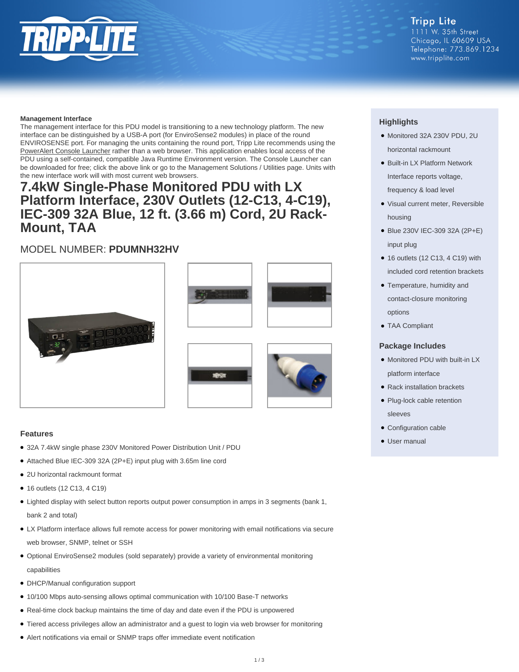#### **Tripp Lite** 1111 W. 35th Street Chicago, IL 60609 USA Telephone: 773.869.1234

www.tripplite.com

**Management Interface**

The management interface for this PDU model is transitioning to a new technology platform. The new interface can be distinguished by a USB-A port (for EnviroSense2 modules) in place of the round ENVIROSENSE port. For managing the units containing the round port, Tripp Lite recommends using the [PowerAlert Console Launcher](https://www.tripplite.com/support/power-alert-console-launcher) rather than a web browser. This application enables local access of the PDU using a self-contained, compatible Java Runtime Environment version. The Console Launcher can be downloaded for free; click the above link or go to the Management Solutions / Utilities page. Units with the new interface work will with most current web browsers.

## **7.4kW Single-Phase Monitored PDU with LX Platform Interface, 230V Outlets (12-C13, 4-C19), IEC-309 32A Blue, 12 ft. (3.66 m) Cord, 2U Rack-Mount, TAA**

### MODEL NUMBER: **PDUMNH32HV**







#### **Features**

- 32A 7.4kW single phase 230V Monitored Power Distribution Unit / PDU
- Attached Blue IEC-309 32A (2P+E) input plug with 3.65m line cord
- 2U horizontal rackmount format
- 16 outlets (12 C13, 4 C19)
- Lighted display with select button reports output power consumption in amps in 3 segments (bank 1, bank 2 and total)
- LX Platform interface allows full remote access for power monitoring with email notifications via secure web browser, SNMP, telnet or SSH
- Optional EnviroSense2 modules (sold separately) provide a variety of environmental monitoring capabilities
- DHCP/Manual configuration support
- 10/100 Mbps auto-sensing allows optimal communication with 10/100 Base-T networks
- Real-time clock backup maintains the time of day and date even if the PDU is unpowered
- Tiered access privileges allow an administrator and a guest to login via web browser for monitoring
- Alert notifications via email or SNMP traps offer immediate event notification

### **Highlights**

- Monitored 32A 230V PDU, 2U horizontal rackmount
- Built-in LX Platform Network Interface reports voltage, frequency & load level
- Visual current meter, Reversible housing
- Blue 230V IEC-309 32A (2P+E) input plug
- 16 outlets (12 C13, 4 C19) with included cord retention brackets
- Temperature, humidity and contact-closure monitoring options
- TAA Compliant

#### **Package Includes**

- Monitored PDU with built-in LX platform interface
- Rack installation brackets
- Plug-lock cable retention sleeves
- Configuration cable
- User manual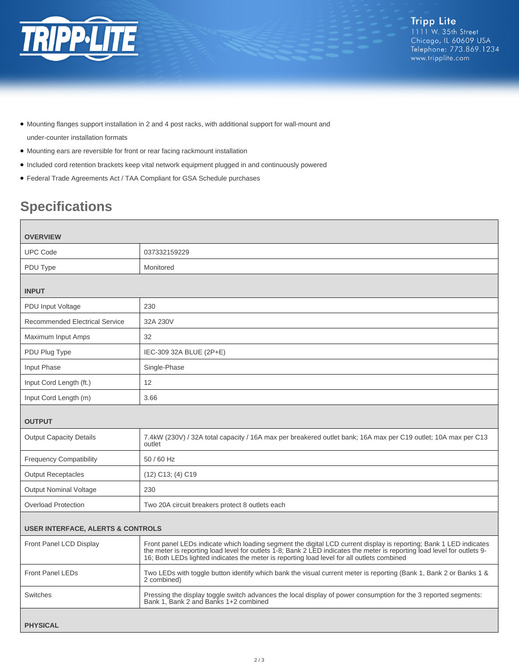

- Mounting flanges support installation in 2 and 4 post racks, with additional support for wall-mount and under-counter installation formats
- Mounting ears are reversible for front or rear facing rackmount installation
- Included cord retention brackets keep vital network equipment plugged in and continuously powered
- Federal Trade Agreements Act / TAA Compliant for GSA Schedule purchases

# **Specifications**

| <b>OVERVIEW</b>                              |                                                                                                                                                                                                                                                                                                                                              |  |
|----------------------------------------------|----------------------------------------------------------------------------------------------------------------------------------------------------------------------------------------------------------------------------------------------------------------------------------------------------------------------------------------------|--|
| <b>UPC Code</b>                              | 037332159229                                                                                                                                                                                                                                                                                                                                 |  |
| PDU Type                                     | Monitored                                                                                                                                                                                                                                                                                                                                    |  |
| <b>INPUT</b>                                 |                                                                                                                                                                                                                                                                                                                                              |  |
| PDU Input Voltage                            | 230                                                                                                                                                                                                                                                                                                                                          |  |
| <b>Recommended Electrical Service</b>        | 32A 230V                                                                                                                                                                                                                                                                                                                                     |  |
| Maximum Input Amps                           | 32                                                                                                                                                                                                                                                                                                                                           |  |
| PDU Plug Type                                | IEC-309 32A BLUE (2P+E)                                                                                                                                                                                                                                                                                                                      |  |
| Input Phase                                  | Single-Phase                                                                                                                                                                                                                                                                                                                                 |  |
| Input Cord Length (ft.)                      | 12                                                                                                                                                                                                                                                                                                                                           |  |
| Input Cord Length (m)                        | 3.66                                                                                                                                                                                                                                                                                                                                         |  |
| <b>OUTPUT</b>                                |                                                                                                                                                                                                                                                                                                                                              |  |
| <b>Output Capacity Details</b>               | 7.4kW (230V) / 32A total capacity / 16A max per breakered outlet bank; 16A max per C19 outlet; 10A max per C13<br>outlet                                                                                                                                                                                                                     |  |
| <b>Frequency Compatibility</b>               | 50 / 60 Hz                                                                                                                                                                                                                                                                                                                                   |  |
| <b>Output Receptacles</b>                    | $(12)$ C <sub>13</sub> ; $(4)$ C <sub>19</sub>                                                                                                                                                                                                                                                                                               |  |
| <b>Output Nominal Voltage</b>                | 230                                                                                                                                                                                                                                                                                                                                          |  |
| <b>Overload Protection</b>                   | Two 20A circuit breakers protect 8 outlets each                                                                                                                                                                                                                                                                                              |  |
| <b>USER INTERFACE, ALERTS &amp; CONTROLS</b> |                                                                                                                                                                                                                                                                                                                                              |  |
| Front Panel LCD Display                      | Front panel LEDs indicate which loading segment the digital LCD current display is reporting; Bank 1 LED indicates<br>the meter is reporting load level for outlets 1-8; Bank 2 LED indicates the meter is reporting load level for outlets 9-<br>16; Both LEDs lighted indicates the meter is reporting load level for all outlets combined |  |
| <b>Front Panel LEDs</b>                      | Two LEDs with toggle button identify which bank the visual current meter is reporting (Bank 1, Bank 2 or Banks 1 &<br>2 combined)                                                                                                                                                                                                            |  |
| Switches                                     | Pressing the display toggle switch advances the local display of power consumption for the 3 reported segments:<br>Bank 1. Bank 2 and Banks 1+2 combined                                                                                                                                                                                     |  |
| <b>PHYSICAL</b>                              |                                                                                                                                                                                                                                                                                                                                              |  |